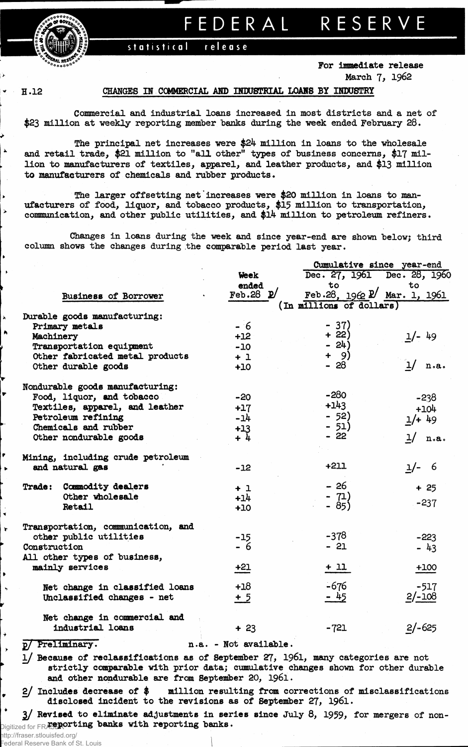FEDERAL RESERVE

release statistical

> For immediate release March 7, 1962

 $H.12$ 

## CHANGES IN COMMERCIAL AND INDUSTRIAL LOANS BY INDUSTRY

Commercial and industrial loans increased in most districts and a net of \$23 million at weekly reporting member banks during the week ended February 28.

The principal net increases were  $$24$  million in loans to the wholesale and retail trade, \$21 million to "all other" types of business concerns, \$17 million to manufacturers of textiles, apparel, and leather products, and \$13 million to manufacturers of chemicals and rubber products.

The larger offsetting net increases were \$20 million in loans to manufacturers of food, liquor, and tobacco products, \$15 million to transportation, communication, and other public utilities, and \$14 million to petroleum refiners.

Changes in loans during the week and since year-end are shown below; third column shows the changes during the comparable period last year.

|                           |                                    |                       | Cumulative since year-end   |           |
|---------------------------|------------------------------------|-----------------------|-----------------------------|-----------|
|                           |                                    | Week                  | Dec. 27, 1961 Dec. 28, 1960 |           |
|                           |                                    | ended                 | to                          | to        |
|                           | Business of Borrower               | Feb.28 $\mathbb{D}'$  | Feb.28, 1962 P Mar. 1, 1961 |           |
|                           |                                    |                       | (In millions of dollars)    |           |
|                           | Durable goods manufacturing:       |                       |                             |           |
|                           | Primary metals                     | $-6$                  | $-37)$                      |           |
| Machinery                 |                                    | $+12$                 | $+22)$                      | $1/- 49$  |
|                           | Transportation equipment           | $-10$                 | $-24)$                      |           |
|                           | Other fabricated metal products    | $+1$                  | $+ 9)$                      |           |
|                           | Other durable goods                | $+10$                 | $-28$                       | $1/$ n.a. |
|                           | Nondurable goods manufacturing:    |                       |                             |           |
| Food, liquor, and tobacco |                                    | $-20$                 | $-280$                      | $-238$    |
|                           | Textiles, apparel, and leather     | $+17$                 | $+143$                      | $+104$    |
|                           | Petroleum refining                 | $-14$                 | $-52)$                      | $1/+49$   |
|                           | Chemicals and rubber               |                       | $-51)$                      |           |
|                           | Other nondurable goods             | $+13$<br>+ 4          | $-22$                       | $1/$ n.a. |
|                           | Mining, including crude petroleum  |                       |                             |           |
|                           | and natural gas                    | $-12$                 | $+211$                      | $1/- 6$   |
|                           | Trade: Commodity dealers           | $+1$                  | $-26$                       | $+25$     |
|                           | Other wholesale                    | $+14$                 | - 71)<br>- 85)              |           |
|                           | Retail                             | $+10$                 |                             | $-237$    |
|                           | Transportation, communication, and |                       |                             |           |
|                           | other public utilities             | $-15$                 | $-378$                      | $-223$    |
| Construction              |                                    | $-6$                  | $-21$                       | $-43$     |
|                           | All other types of business,       |                       |                             |           |
|                           | mainly services                    | $+21$                 | $+11$                       | $+100$    |
|                           | Net change in classified loans     | $+18$                 | $-676$                      | $-517$    |
|                           | Unclassified changes - net         | $+5$                  | $-45$                       | $2/-108$  |
|                           | Net change in commercial and       |                       |                             |           |
|                           | industrial loans                   | $+23$                 | $-721$                      | $2/-625$  |
| p/ Preliminary.           |                                    | n.a. - Not available. |                             |           |

1/ Because of reclassifications as of September 27, 1961, many categories are not strictly comparable with prior data; cumulative changes shown for other durable and other nondurable are from September 20, 1961.

 $2/$  Includes decrease of \$ million resulting from corrections of misclassifications disclosed incident to the revisions as of September 27, 1961.

3/ Revised to eliminate adjustments in series since July 8, 1959, for mergers of non-Digitized for FRASPOTting banks with reporting banks.

http://fraser.stlouisfed.org/ Federal Reserve Bank of St. Louis